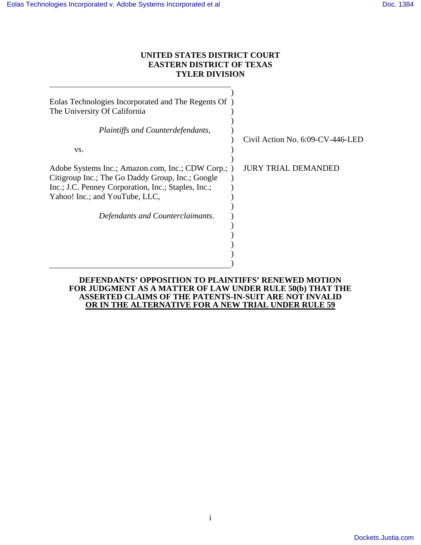# **UNITED STATES DISTRICT COURT EASTERN DISTRICT OF TEXAS TYLER DIVISION**

| Eolas Technologies Incorporated and The Regents Of<br>The University Of California                                                                                                              |                                     |
|-------------------------------------------------------------------------------------------------------------------------------------------------------------------------------------------------|-------------------------------------|
| Plaintiffs and Counterdefendants,<br>VS.                                                                                                                                                        | Civil Action No. $6:09$ -CV-446-LED |
| Adobe Systems Inc.; Amazon.com, Inc.; CDW Corp.; )<br>Citigroup Inc.; The Go Daddy Group, Inc.; Google<br>Inc.; J.C. Penney Corporation, Inc.; Staples, Inc.;<br>Yahoo! Inc.; and YouTube, LLC, | JURY TRIAL DEMANDED                 |
| Defendants and Counterclaimants.                                                                                                                                                                |                                     |

## **DEFENDANTS' OPPOSITION TO PLAINTIFFS' RENEWED MOTION FOR JUDGMENT AS A MATTER OF LAW UNDER RULE 50(b) THAT THE ASSERTED CLAIMS OF THE PATENTS-IN-SUIT ARE NOT INVALID OR IN THE ALTERNATIVE FOR A NEW TRIAL UNDER RULE 59**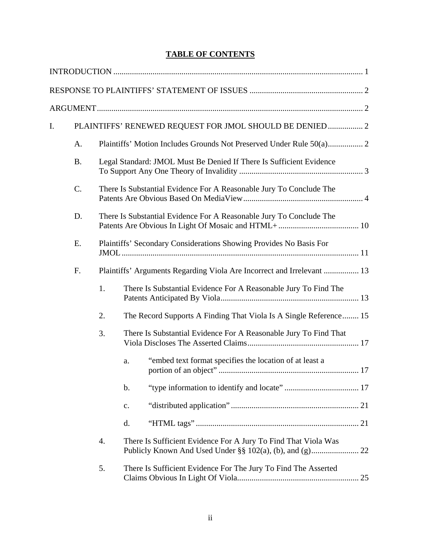# **TABLE OF CONTENTS**

| I. |           |    | PLAINTIFFS' RENEWED REQUEST FOR JMOL SHOULD BE DENIED  2               |
|----|-----------|----|------------------------------------------------------------------------|
|    | A.        |    |                                                                        |
|    | <b>B.</b> |    | Legal Standard: JMOL Must Be Denied If There Is Sufficient Evidence    |
|    | C.        |    | There Is Substantial Evidence For A Reasonable Jury To Conclude The    |
|    | D.        |    | There Is Substantial Evidence For A Reasonable Jury To Conclude The    |
|    | Ε.        |    | Plaintiffs' Secondary Considerations Showing Provides No Basis For     |
|    | F.        |    | Plaintiffs' Arguments Regarding Viola Are Incorrect and Irrelevant  13 |
|    |           | 1. | There Is Substantial Evidence For A Reasonable Jury To Find The        |
|    |           | 2. | The Record Supports A Finding That Viola Is A Single Reference 15      |
|    |           | 3. | There Is Substantial Evidence For A Reasonable Jury To Find That       |
|    |           |    | "embed text format specifies the location of at least a<br>a.          |
|    |           |    | b.                                                                     |
|    |           |    | c.                                                                     |
|    |           |    | d.                                                                     |
|    |           | 4. | There Is Sufficient Evidence For A Jury To Find That Viola Was         |
|    |           | 5. | There Is Sufficient Evidence For The Jury To Find The Asserted<br>25   |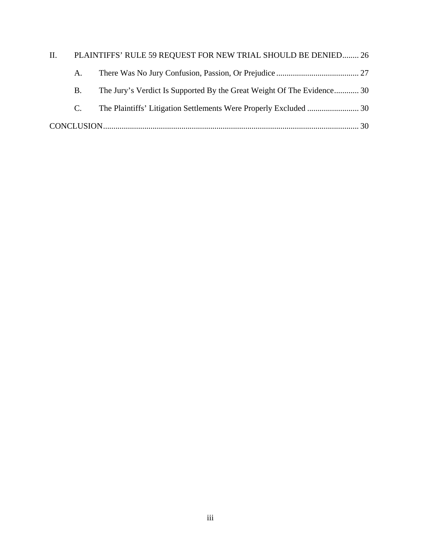| II. |             | PLAINTIFFS' RULE 59 REQUEST FOR NEW TRIAL SHOULD BE DENIED 26          |  |
|-----|-------------|------------------------------------------------------------------------|--|
|     | A.          |                                                                        |  |
|     | B.          | The Jury's Verdict Is Supported By the Great Weight Of The Evidence 30 |  |
|     | $C_{\cdot}$ |                                                                        |  |
|     |             |                                                                        |  |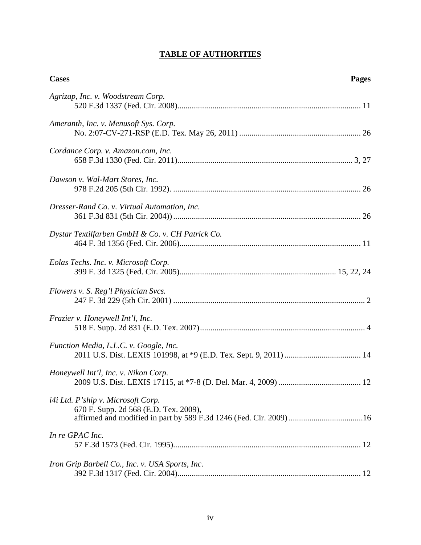# **TABLE OF AUTHORITIES**

| <b>Cases</b>                                                                | <b>Pages</b> |
|-----------------------------------------------------------------------------|--------------|
| Agrizap, Inc. v. Woodstream Corp.                                           |              |
| Ameranth, Inc. v. Menusoft Sys. Corp.                                       |              |
| Cordance Corp. v. Amazon.com, Inc.                                          |              |
| Dawson v. Wal-Mart Stores, Inc.                                             |              |
| Dresser-Rand Co. v. Virtual Automation, Inc.                                |              |
| Dystar Textilfarben GmbH & Co. v. CH Patrick Co.                            |              |
| Eolas Techs. Inc. v. Microsoft Corp.                                        |              |
| Flowers v. S. Reg'l Physician Svcs.                                         |              |
| Frazier v. Honeywell Int'l, Inc.                                            |              |
| Function Media, L.L.C. v. Google, Inc.                                      |              |
| Honeywell Int'l, Inc. v. Nikon Corp.                                        |              |
| i4i Ltd. P'ship v. Microsoft Corp.<br>670 F. Supp. 2d 568 (E.D. Tex. 2009), |              |
| In re GPAC Inc.                                                             |              |
| Iron Grip Barbell Co., Inc. v. USA Sports, Inc.                             |              |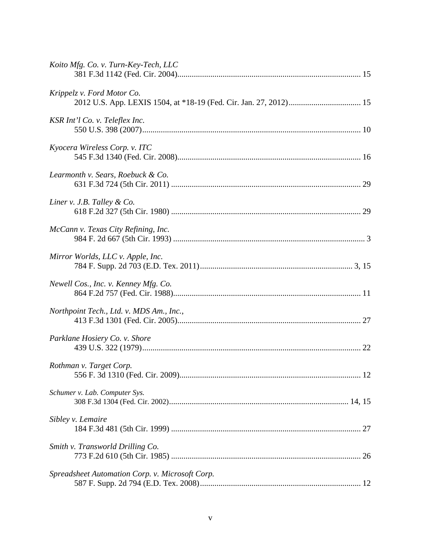| Koito Mfg. Co. v. Turn-Key-Tech, LLC            |  |
|-------------------------------------------------|--|
| Krippelz v. Ford Motor Co.                      |  |
| KSR Int'l Co. v. Teleflex Inc.                  |  |
| Kyocera Wireless Corp. v. ITC                   |  |
| Learmonth v. Sears, Roebuck & Co.               |  |
| Liner v. J.B. Talley $& Co.$                    |  |
| McCann v. Texas City Refining, Inc.             |  |
| Mirror Worlds, LLC v. Apple, Inc.               |  |
| Newell Cos., Inc. v. Kenney Mfg. Co.            |  |
| Northpoint Tech., Ltd. v. MDS Am., Inc.,        |  |
| Parklane Hosiery Co. v. Shore                   |  |
| Rothman v. Target Corp.                         |  |
| Schumer v. Lab. Computer Sys.                   |  |
| Sibley v. Lemaire                               |  |
| Smith v. Transworld Drilling Co.                |  |
| Spreadsheet Automation Corp. v. Microsoft Corp. |  |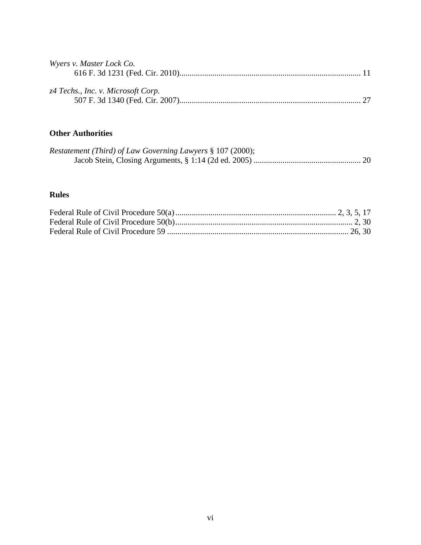| Wyers v. Master Lock Co.           |  |
|------------------------------------|--|
|                                    |  |
|                                    |  |
| z4 Techs., Inc. v. Microsoft Corp. |  |
|                                    |  |

# **Other Authorities**

| <i>Restatement (Third) of Law Governing Lawyers § 107 (2000);</i> |  |
|-------------------------------------------------------------------|--|
|                                                                   |  |

# **Rules**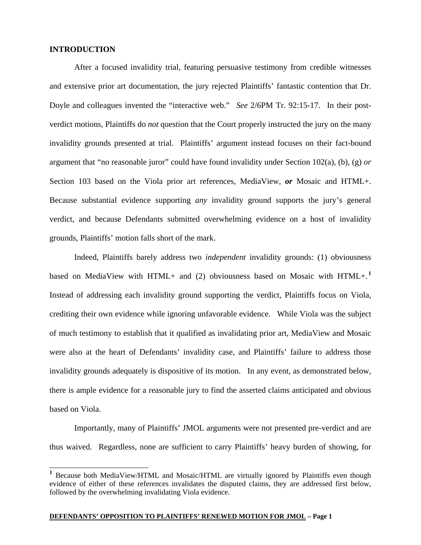### **INTRODUCTION**

 $\overline{a}$ 

After a focused invalidity trial, featuring persuasive testimony from credible witnesses and extensive prior art documentation, the jury rejected Plaintiffs' fantastic contention that Dr. Doyle and colleagues invented the "interactive web." *See* 2/6PM Tr. 92:15-17. In their postverdict motions, Plaintiffs do *not* question that the Court properly instructed the jury on the many invalidity grounds presented at trial. Plaintiffs' argument instead focuses on their fact-bound argument that "no reasonable juror" could have found invalidity under Section 102(a), (b), (g) *or* Section 103 based on the Viola prior art references, MediaView, *or* Mosaic and HTML+. Because substantial evidence supporting *any* invalidity ground supports the jury's general verdict, and because Defendants submitted overwhelming evidence on a host of invalidity grounds, Plaintiffs' motion falls short of the mark.

Indeed, Plaintiffs barely address two *independent* invalidity grounds: (1) obviousness based on MediaView with HTML+ and (2) obviousness based on Mosaic with HTML+.<sup>1</sup> Instead of addressing each invalidity ground supporting the verdict, Plaintiffs focus on Viola, crediting their own evidence while ignoring unfavorable evidence. While Viola was the subject of much testimony to establish that it qualified as invalidating prior art, MediaView and Mosaic were also at the heart of Defendants' invalidity case, and Plaintiffs' failure to address those invalidity grounds adequately is dispositive of its motion. In any event, as demonstrated below, there is ample evidence for a reasonable jury to find the asserted claims anticipated and obvious based on Viola.

Importantly, many of Plaintiffs' JMOL arguments were not presented pre-verdict and are thus waived. Regardless, none are sufficient to carry Plaintiffs' heavy burden of showing, for

**<sup>1</sup>** Because both MediaView/HTML and Mosaic/HTML are virtually ignored by Plaintiffs even though evidence of either of these references invalidates the disputed claims, they are addressed first below, followed by the overwhelming invalidating Viola evidence.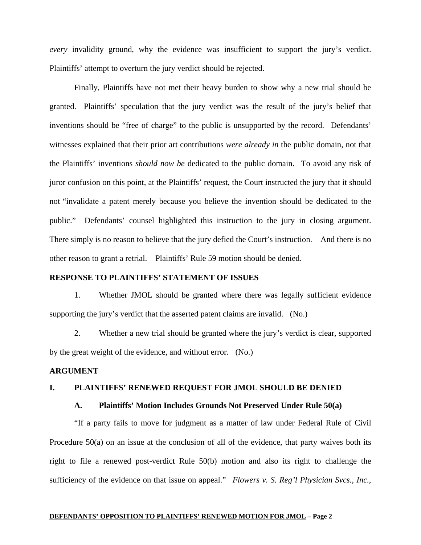*every* invalidity ground, why the evidence was insufficient to support the jury's verdict. Plaintiffs' attempt to overturn the jury verdict should be rejected.

Finally, Plaintiffs have not met their heavy burden to show why a new trial should be granted. Plaintiffs' speculation that the jury verdict was the result of the jury's belief that inventions should be "free of charge" to the public is unsupported by the record. Defendants' witnesses explained that their prior art contributions *were already in* the public domain, not that the Plaintiffs' inventions *should now be* dedicated to the public domain. To avoid any risk of juror confusion on this point, at the Plaintiffs' request, the Court instructed the jury that it should not "invalidate a patent merely because you believe the invention should be dedicated to the public." Defendants' counsel highlighted this instruction to the jury in closing argument. There simply is no reason to believe that the jury defied the Court's instruction. And there is no other reason to grant a retrial. Plaintiffs' Rule 59 motion should be denied.

# **RESPONSE TO PLAINTIFFS' STATEMENT OF ISSUES**

1. Whether JMOL should be granted where there was legally sufficient evidence supporting the jury's verdict that the asserted patent claims are invalid. (No.)

2. Whether a new trial should be granted where the jury's verdict is clear, supported by the great weight of the evidence, and without error. (No.)

## **ARGUMENT**

## **I. PLAINTIFFS' RENEWED REQUEST FOR JMOL SHOULD BE DENIED**

### **A. Plaintiffs' Motion Includes Grounds Not Preserved Under Rule 50(a)**

"If a party fails to move for judgment as a matter of law under Federal Rule of Civil Procedure 50(a) on an issue at the conclusion of all of the evidence, that party waives both its right to file a renewed post-verdict Rule 50(b) motion and also its right to challenge the sufficiency of the evidence on that issue on appeal." *Flowers v. S. Reg'l Physician Svcs., Inc.*,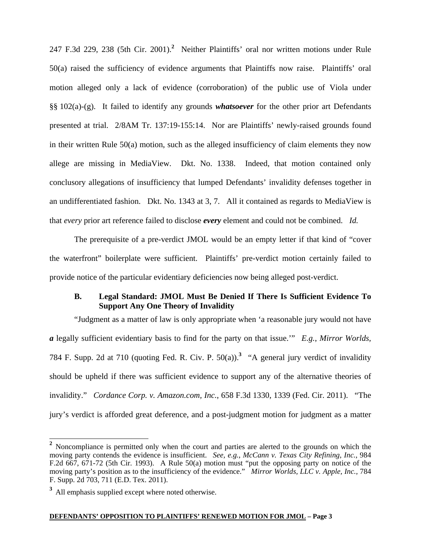247 F.3d 229, 238 (5th Cir. 2001).**<sup>2</sup>** Neither Plaintiffs' oral nor written motions under Rule 50(a) raised the sufficiency of evidence arguments that Plaintiffs now raise. Plaintiffs' oral motion alleged only a lack of evidence (corroboration) of the public use of Viola under §§ 102(a)-(g). It failed to identify any grounds *whatsoever* for the other prior art Defendants presented at trial. 2/8AM Tr. 137:19-155:14. Nor are Plaintiffs' newly-raised grounds found in their written Rule 50(a) motion, such as the alleged insufficiency of claim elements they now allege are missing in MediaView. Dkt. No. 1338. Indeed, that motion contained only conclusory allegations of insufficiency that lumped Defendants' invalidity defenses together in an undifferentiated fashion. Dkt. No. 1343 at 3, 7. All it contained as regards to MediaView is that *every* prior art reference failed to disclose *every* element and could not be combined. *Id.* 

The prerequisite of a pre-verdict JMOL would be an empty letter if that kind of "cover the waterfront" boilerplate were sufficient. Plaintiffs' pre-verdict motion certainly failed to provide notice of the particular evidentiary deficiencies now being alleged post-verdict.

# **B. Legal Standard: JMOL Must Be Denied If There Is Sufficient Evidence To Support Any One Theory of Invalidity**

"Judgment as a matter of law is only appropriate when 'a reasonable jury would not have *a* legally sufficient evidentiary basis to find for the party on that issue.'" *E.g.*, *Mirror Worlds,*  784 F. Supp. 2d at 710 (quoting Fed. R. Civ. P. 50(a)).**<sup>3</sup>** "A general jury verdict of invalidity should be upheld if there was sufficient evidence to support any of the alternative theories of invalidity." *Cordance Corp. v. Amazon.com, Inc.*, 658 F.3d 1330, 1339 (Fed. Cir. 2011). "The jury's verdict is afforded great deference, and a post-judgment motion for judgment as a matter

 $\overline{\phantom{a}}$ 

<sup>&</sup>lt;sup>2</sup> Noncompliance is permitted only when the court and parties are alerted to the grounds on which the moving party contends the evidence is insufficient. *See, e.g.*, *McCann v. Texas City Refining, Inc.*, 984 F.2d 667, 671-72 (5th Cir. 1993). A Rule 50(a) motion must "put the opposing party on notice of the moving party's position as to the insufficiency of the evidence." *Mirror Worlds, LLC v. Apple, Inc.,* 784 F. Supp. 2d 703, 711 (E.D. Tex. 2011).

**<sup>3</sup>** All emphasis supplied except where noted otherwise.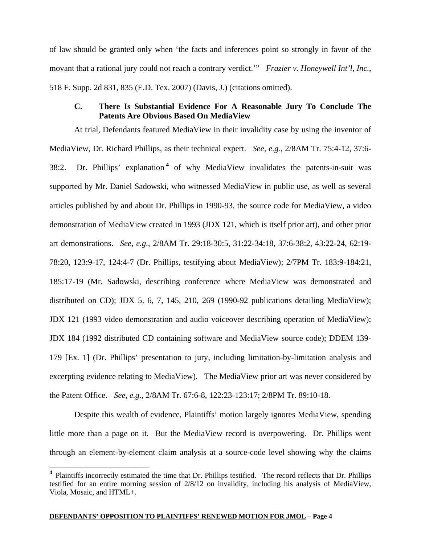of law should be granted only when 'the facts and inferences point so strongly in favor of the movant that a rational jury could not reach a contrary verdict.'" *Frazier v. Honeywell Int'l, Inc.*, 518 F. Supp. 2d 831, 835 (E.D. Tex. 2007) (Davis, J.) (citations omitted).

# **C. There Is Substantial Evidence For A Reasonable Jury To Conclude The Patents Are Obvious Based On MediaView**

At trial, Defendants featured MediaView in their invalidity case by using the inventor of MediaView, Dr. Richard Phillips, as their technical expert. *See, e.g.*, 2/8AM Tr. 75:4-12, 37:6- 38:2. Dr. Phillips' explanation **<sup>4</sup>** of why MediaView invalidates the patents-in-suit was supported by Mr. Daniel Sadowski, who witnessed MediaView in public use, as well as several articles published by and about Dr. Phillips in 1990-93, the source code for MediaView, a video demonstration of MediaView created in 1993 (JDX 121, which is itself prior art), and other prior art demonstrations. *See, e.g.*, 2/8AM Tr. 29:18-30:5, 31:22-34:18, 37:6-38:2, 43:22-24, 62:19- 78:20, 123:9-17, 124:4-7 (Dr. Phillips, testifying about MediaView); 2/7PM Tr. 183:9-184:21, 185:17-19 (Mr. Sadowski, describing conference where MediaView was demonstrated and distributed on CD); JDX 5, 6, 7, 145, 210, 269 (1990-92 publications detailing MediaView); JDX 121 (1993 video demonstration and audio voiceover describing operation of MediaView); JDX 184 (1992 distributed CD containing software and MediaView source code); DDEM 139- 179 [Ex. 1] (Dr. Phillips' presentation to jury, including limitation-by-limitation analysis and excerpting evidence relating to MediaView). The MediaView prior art was never considered by the Patent Office. *See, e.g.*, 2/8AM Tr. 67:6-8, 122:23-123:17; 2/8PM Tr. 89:10-18.

Despite this wealth of evidence, Plaintiffs' motion largely ignores MediaView, spending little more than a page on it. But the MediaView record is overpowering. Dr. Phillips went through an element-by-element claim analysis at a source-code level showing why the claims

### **DEFENDANTS' OPPOSITION TO PLAINTIFFS' RENEWED MOTION FOR JMOL – Page 4**

 $\overline{\phantom{a}}$ 

**<sup>4</sup>** Plaintiffs incorrectly estimated the time that Dr. Phillips testified. The record reflects that Dr. Phillips testified for an entire morning session of 2/8/12 on invalidity, including his analysis of MediaView, Viola, Mosaic, and HTML+.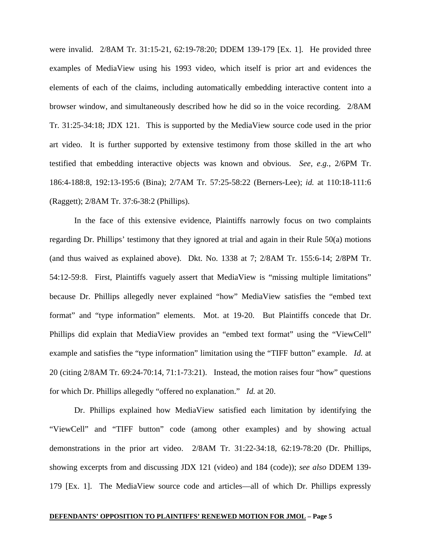were invalid. 2/8AM Tr. 31:15-21, 62:19-78:20; DDEM 139-179 [Ex. 1]. He provided three examples of MediaView using his 1993 video, which itself is prior art and evidences the elements of each of the claims, including automatically embedding interactive content into a browser window, and simultaneously described how he did so in the voice recording. 2/8AM Tr. 31:25-34:18; JDX 121. This is supported by the MediaView source code used in the prior art video. It is further supported by extensive testimony from those skilled in the art who testified that embedding interactive objects was known and obvious. *See, e.g.*, 2/6PM Tr. 186:4-188:8, 192:13-195:6 (Bina); 2/7AM Tr. 57:25-58:22 (Berners-Lee); *id.* at 110:18-111:6 (Raggett); 2/8AM Tr. 37:6-38:2 (Phillips).

In the face of this extensive evidence, Plaintiffs narrowly focus on two complaints regarding Dr. Phillips' testimony that they ignored at trial and again in their Rule 50(a) motions (and thus waived as explained above). Dkt. No. 1338 at 7; 2/8AM Tr. 155:6-14; 2/8PM Tr. 54:12-59:8. First, Plaintiffs vaguely assert that MediaView is "missing multiple limitations" because Dr. Phillips allegedly never explained "how" MediaView satisfies the "embed text format" and "type information" elements. Mot. at 19-20. But Plaintiffs concede that Dr. Phillips did explain that MediaView provides an "embed text format" using the "ViewCell" example and satisfies the "type information" limitation using the "TIFF button" example. *Id.* at 20 (citing 2/8AM Tr. 69:24-70:14, 71:1-73:21). Instead, the motion raises four "how" questions for which Dr. Phillips allegedly "offered no explanation." *Id.* at 20.

Dr. Phillips explained how MediaView satisfied each limitation by identifying the "ViewCell" and "TIFF button" code (among other examples) and by showing actual demonstrations in the prior art video. 2/8AM Tr. 31:22-34:18, 62:19-78:20 (Dr. Phillips, showing excerpts from and discussing JDX 121 (video) and 184 (code)); *see also* DDEM 139- 179 [Ex. 1]. The MediaView source code and articles—all of which Dr. Phillips expressly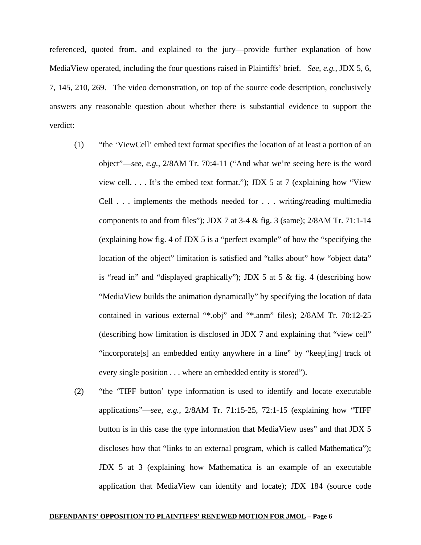referenced, quoted from, and explained to the jury—provide further explanation of how MediaView operated, including the four questions raised in Plaintiffs' brief. *See, e.g.*, JDX 5, 6, 7, 145, 210, 269. The video demonstration, on top of the source code description, conclusively answers any reasonable question about whether there is substantial evidence to support the verdict:

- (1) "the 'ViewCell' embed text format specifies the location of at least a portion of an object"—*see, e.g.*, 2/8AM Tr. 70:4-11 ("And what we're seeing here is the word view cell. . . . It's the embed text format."); JDX 5 at 7 (explaining how "View Cell . . . implements the methods needed for . . . writing/reading multimedia components to and from files"); JDX 7 at 3-4 & fig. 3 (same); 2/8AM Tr. 71:1-14 (explaining how fig. 4 of JDX 5 is a "perfect example" of how the "specifying the location of the object" limitation is satisfied and "talks about" how "object data" is "read in" and "displayed graphically"); JDX 5 at 5  $\&$  fig. 4 (describing how "MediaView builds the animation dynamically" by specifying the location of data contained in various external "\*.obj" and "\*.anm" files); 2/8AM Tr. 70:12-25 (describing how limitation is disclosed in JDX 7 and explaining that "view cell" "incorporate[s] an embedded entity anywhere in a line" by "keep[ing] track of every single position . . . where an embedded entity is stored").
- (2) "the 'TIFF button' type information is used to identify and locate executable applications"—*see, e.g.*, 2/8AM Tr. 71:15-25, 72:1-15 (explaining how "TIFF button is in this case the type information that MediaView uses" and that JDX 5 discloses how that "links to an external program, which is called Mathematica"); JDX 5 at 3 (explaining how Mathematica is an example of an executable application that MediaView can identify and locate); JDX 184 (source code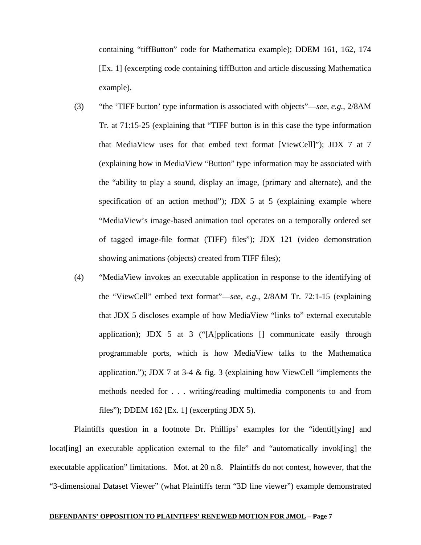containing "tiffButton" code for Mathematica example); DDEM 161, 162, 174 [Ex. 1] (excerpting code containing tiffButton and article discussing Mathematica example).

- (3) "the 'TIFF button' type information is associated with objects"—*see, e.g.*, 2/8AM Tr. at 71:15-25 (explaining that "TIFF button is in this case the type information that MediaView uses for that embed text format [ViewCell]"); JDX 7 at 7 (explaining how in MediaView "Button" type information may be associated with the "ability to play a sound, display an image, (primary and alternate), and the specification of an action method"); JDX 5 at 5 (explaining example where "MediaView's image-based animation tool operates on a temporally ordered set of tagged image-file format (TIFF) files"); JDX 121 (video demonstration showing animations (objects) created from TIFF files);
- (4) "MediaView invokes an executable application in response to the identifying of the "ViewCell" embed text format"—*see, e.g.*, 2/8AM Tr. 72:1-15 (explaining that JDX 5 discloses example of how MediaView "links to" external executable application); JDX 5 at 3 ("[A]pplications [] communicate easily through programmable ports, which is how MediaView talks to the Mathematica application."); JDX 7 at 3-4 & fig. 3 (explaining how ViewCell "implements the methods needed for . . . writing/reading multimedia components to and from files"); DDEM 162 [Ex. 1] (excerpting JDX 5).

Plaintiffs question in a footnote Dr. Phillips' examples for the "identif[ying] and locat [ing] an executable application external to the file" and "automatically invok[ing] the executable application" limitations. Mot. at 20 n.8. Plaintiffs do not contest, however, that the "3-dimensional Dataset Viewer" (what Plaintiffs term "3D line viewer") example demonstrated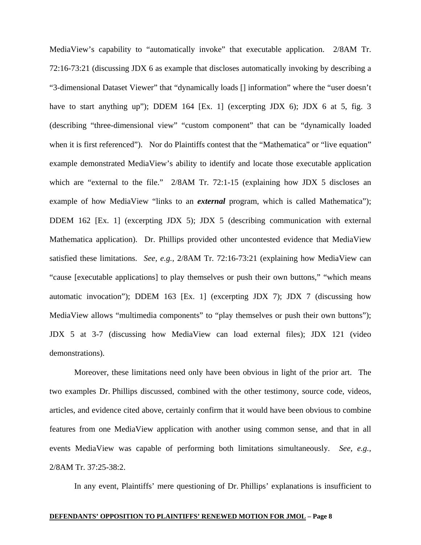MediaView's capability to "automatically invoke" that executable application. 2/8AM Tr. 72:16-73:21 (discussing JDX 6 as example that discloses automatically invoking by describing a "3-dimensional Dataset Viewer" that "dynamically loads [] information" where the "user doesn't have to start anything up"); DDEM 164 [Ex. 1] (excerpting JDX 6); JDX 6 at 5, fig. 3 (describing "three-dimensional view" "custom component" that can be "dynamically loaded when it is first referenced"). Nor do Plaintiffs contest that the "Mathematica" or "live equation" example demonstrated MediaView's ability to identify and locate those executable application which are "external to the file." 2/8AM Tr. 72:1-15 (explaining how JDX 5 discloses an example of how MediaView "links to an *external* program, which is called Mathematica"); DDEM 162 [Ex. 1] (excerpting JDX 5); JDX 5 (describing communication with external Mathematica application). Dr. Phillips provided other uncontested evidence that MediaView satisfied these limitations. *See, e.g.*, 2/8AM Tr. 72:16-73:21 (explaining how MediaView can "cause [executable applications] to play themselves or push their own buttons," "which means automatic invocation"); DDEM 163 [Ex. 1] (excerpting JDX 7); JDX 7 (discussing how MediaView allows "multimedia components" to "play themselves or push their own buttons"); JDX 5 at 3-7 (discussing how MediaView can load external files); JDX 121 (video demonstrations).

Moreover, these limitations need only have been obvious in light of the prior art. The two examples Dr. Phillips discussed, combined with the other testimony, source code, videos, articles, and evidence cited above, certainly confirm that it would have been obvious to combine features from one MediaView application with another using common sense, and that in all events MediaView was capable of performing both limitations simultaneously. *See, e.g.*, 2/8AM Tr. 37:25-38:2.

In any event, Plaintiffs' mere questioning of Dr. Phillips' explanations is insufficient to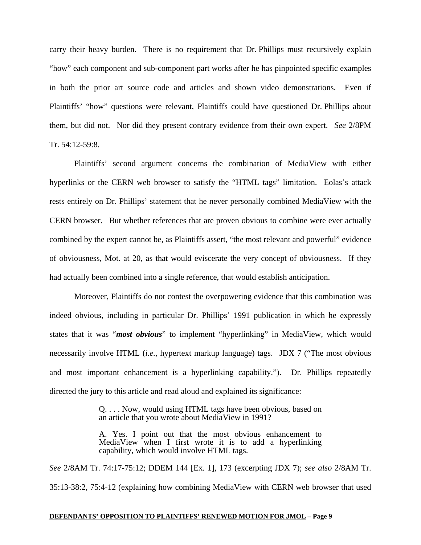carry their heavy burden. There is no requirement that Dr. Phillips must recursively explain "how" each component and sub-component part works after he has pinpointed specific examples in both the prior art source code and articles and shown video demonstrations. Even if Plaintiffs' "how" questions were relevant, Plaintiffs could have questioned Dr. Phillips about them, but did not. Nor did they present contrary evidence from their own expert. *See* 2/8PM Tr. 54:12-59:8.

Plaintiffs' second argument concerns the combination of MediaView with either hyperlinks or the CERN web browser to satisfy the "HTML tags" limitation. Eolas's attack rests entirely on Dr. Phillips' statement that he never personally combined MediaView with the CERN browser. But whether references that are proven obvious to combine were ever actually combined by the expert cannot be, as Plaintiffs assert, "the most relevant and powerful" evidence of obviousness, Mot. at 20, as that would eviscerate the very concept of obviousness. If they had actually been combined into a single reference, that would establish anticipation.

Moreover, Plaintiffs do not contest the overpowering evidence that this combination was indeed obvious, including in particular Dr. Phillips' 1991 publication in which he expressly states that it was "*most obvious*" to implement "hyperlinking" in MediaView, which would necessarily involve HTML (*i.e.*, hypertext markup language) tags. JDX 7 ("The most obvious and most important enhancement is a hyperlinking capability."). Dr. Phillips repeatedly directed the jury to this article and read aloud and explained its significance:

> Q. . . . Now, would using HTML tags have been obvious, based on an article that you wrote about MediaView in 1991?

> A. Yes. I point out that the most obvious enhancement to MediaView when I first wrote it is to add a hyperlinking capability, which would involve HTML tags.

*See* 2/8AM Tr. 74:17-75:12; DDEM 144 [Ex. 1], 173 (excerpting JDX 7); *see also* 2/8AM Tr. 35:13-38:2, 75:4-12 (explaining how combining MediaView with CERN web browser that used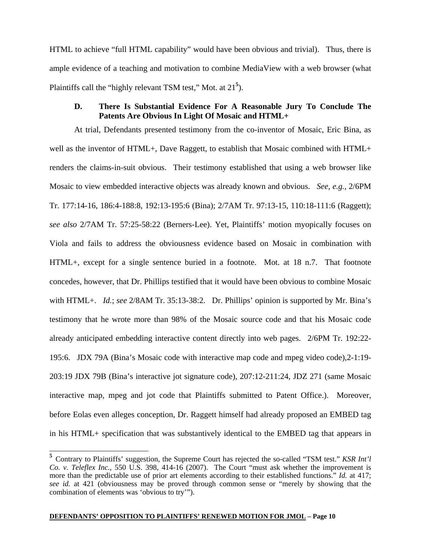HTML to achieve "full HTML capability" would have been obvious and trivial). Thus, there is ample evidence of a teaching and motivation to combine MediaView with a web browser (what Plaintiffs call the "highly relevant TSM test," Mot. at 21**<sup>5</sup>** ).

# **D. There Is Substantial Evidence For A Reasonable Jury To Conclude The Patents Are Obvious In Light Of Mosaic and HTML+**

At trial, Defendants presented testimony from the co-inventor of Mosaic, Eric Bina, as well as the inventor of HTML+, Dave Raggett, to establish that Mosaic combined with HTML+ renders the claims-in-suit obvious. Their testimony established that using a web browser like Mosaic to view embedded interactive objects was already known and obvious. *See, e.g.*, 2/6PM Tr. 177:14-16, 186:4-188:8, 192:13-195:6 (Bina); 2/7AM Tr. 97:13-15, 110:18-111:6 (Raggett); *see also* 2/7AM Tr. 57:25-58:22 (Berners-Lee). Yet, Plaintiffs' motion myopically focuses on Viola and fails to address the obviousness evidence based on Mosaic in combination with HTML+, except for a single sentence buried in a footnote. Mot. at 18 n.7. That footnote concedes, however, that Dr. Phillips testified that it would have been obvious to combine Mosaic with HTML+. *Id.*; *see* 2/8AM Tr. 35:13-38:2. Dr. Phillips' opinion is supported by Mr. Bina's testimony that he wrote more than 98% of the Mosaic source code and that his Mosaic code already anticipated embedding interactive content directly into web pages. 2/6PM Tr. 192:22- 195:6. JDX 79A (Bina's Mosaic code with interactive map code and mpeg video code),2-1:19- 203:19 JDX 79B (Bina's interactive jot signature code), 207:12-211:24, JDZ 271 (same Mosaic interactive map, mpeg and jot code that Plaintiffs submitted to Patent Office.). Moreover, before Eolas even alleges conception, Dr. Raggett himself had already proposed an EMBED tag in his HTML+ specification that was substantively identical to the EMBED tag that appears in

 $\overline{a}$ 

**<sup>5</sup>** Contrary to Plaintiffs' suggestion, the Supreme Court has rejected the so-called "TSM test." *KSR Int'l Co. v. Teleflex Inc.*, 550 U.S. 398, 414-16 (2007). The Court "must ask whether the improvement is more than the predictable use of prior art elements according to their established functions." *Id.* at 417; *see id.* at 421 (obviousness may be proved through common sense or "merely by showing that the combination of elements was 'obvious to try'").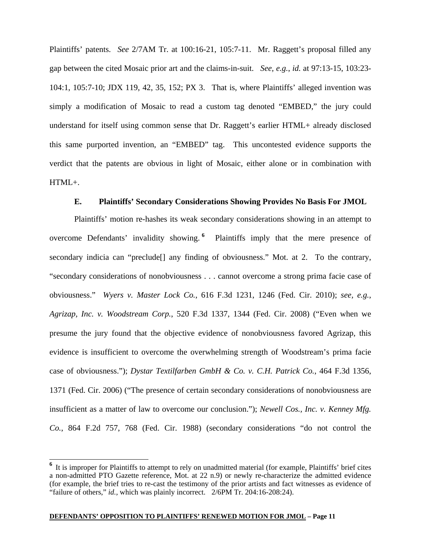Plaintiffs' patents. *See* 2/7AM Tr. at 100:16-21, 105:7-11. Mr. Raggett's proposal filled any gap between the cited Mosaic prior art and the claims-in-suit. *See, e.g.*, *id.* at 97:13-15, 103:23- 104:1, 105:7-10; JDX 119, 42, 35, 152; PX 3. That is, where Plaintiffs' alleged invention was simply a modification of Mosaic to read a custom tag denoted "EMBED," the jury could understand for itself using common sense that Dr. Raggett's earlier HTML+ already disclosed this same purported invention, an "EMBED" tag. This uncontested evidence supports the verdict that the patents are obvious in light of Mosaic, either alone or in combination with HTML+.

# **E. Plaintiffs' Secondary Considerations Showing Provides No Basis For JMOL**

Plaintiffs' motion re-hashes its weak secondary considerations showing in an attempt to overcome Defendants' invalidity showing. **<sup>6</sup>** Plaintiffs imply that the mere presence of secondary indicia can "preclude<sup>[]</sup> any finding of obviousness." Mot. at 2. To the contrary, "secondary considerations of nonobviousness . . . cannot overcome a strong prima facie case of obviousness." *Wyers v. Master Lock Co.*, 616 F.3d 1231, 1246 (Fed. Cir. 2010); *see, e.g.*, *Agrizap, Inc. v. Woodstream Corp.*, 520 F.3d 1337, 1344 (Fed. Cir. 2008) ("Even when we presume the jury found that the objective evidence of nonobviousness favored Agrizap, this evidence is insufficient to overcome the overwhelming strength of Woodstream's prima facie case of obviousness."); *Dystar Textilfarben GmbH & Co. v. C.H. Patrick Co.*, 464 F.3d 1356, 1371 (Fed. Cir. 2006) ("The presence of certain secondary considerations of nonobviousness are insufficient as a matter of law to overcome our conclusion."); *Newell Cos., Inc. v. Kenney Mfg. Co.*, 864 F.2d 757, 768 (Fed. Cir. 1988) (secondary considerations "do not control the

 $\overline{\phantom{a}}$ 

<sup>&</sup>lt;sup>6</sup> It is improper for Plaintiffs to attempt to rely on unadmitted material (for example, Plaintiffs' brief cites a non-admitted PTO Gazette reference, Mot. at 22 n.9) or newly re-characterize the admitted evidence (for example, the brief tries to re-cast the testimony of the prior artists and fact witnesses as evidence of "failure of others," *id.,* which was plainly incorrect. 2/6PM Tr. 204:16-208:24).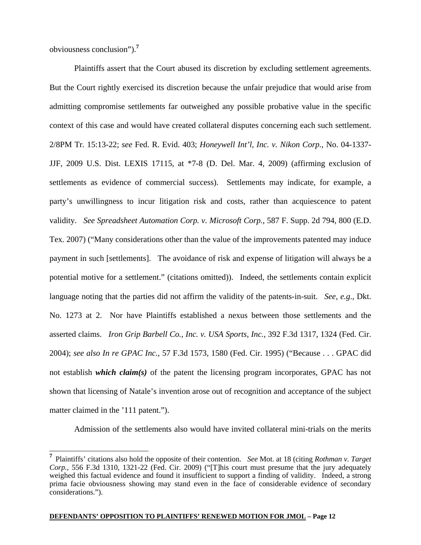obviousness conclusion").**<sup>7</sup>**

Plaintiffs assert that the Court abused its discretion by excluding settlement agreements. But the Court rightly exercised its discretion because the unfair prejudice that would arise from admitting compromise settlements far outweighed any possible probative value in the specific context of this case and would have created collateral disputes concerning each such settlement. 2/8PM Tr. 15:13-22; *see* Fed. R. Evid. 403; *Honeywell Int'l, Inc. v. Nikon Corp.*, No. 04-1337- JJF, 2009 U.S. Dist. LEXIS 17115, at \*7-8 (D. Del. Mar. 4, 2009) (affirming exclusion of settlements as evidence of commercial success). Settlements may indicate, for example, a party's unwillingness to incur litigation risk and costs, rather than acquiescence to patent validity. *See Spreadsheet Automation Corp. v. Microsoft Corp.*, 587 F. Supp. 2d 794, 800 (E.D. Tex. 2007) ("Many considerations other than the value of the improvements patented may induce payment in such [settlements]. The avoidance of risk and expense of litigation will always be a potential motive for a settlement." (citations omitted)). Indeed, the settlements contain explicit language noting that the parties did not affirm the validity of the patents-in-suit. *See, e.g*., Dkt. No. 1273 at 2. Nor have Plaintiffs established a nexus between those settlements and the asserted claims. *Iron Grip Barbell Co., Inc. v. USA Sports, Inc.*, 392 F.3d 1317, 1324 (Fed. Cir. 2004); *see also In re GPAC Inc.*, 57 F.3d 1573, 1580 (Fed. Cir. 1995) ("Because . . . GPAC did not establish *which claim(s)* of the patent the licensing program incorporates, GPAC has not shown that licensing of Natale's invention arose out of recognition and acceptance of the subject matter claimed in the '111 patent.").

Admission of the settlements also would have invited collateral mini-trials on the merits

 $\overline{a}$ **<sup>7</sup>** Plaintiffs' citations also hold the opposite of their contention. *See* Mot. at 18 (citing *Rothman v. Target Corp.*, 556 F.3d 1310, 1321-22 (Fed. Cir. 2009) ("[T]his court must presume that the jury adequately weighed this factual evidence and found it insufficient to support a finding of validity. Indeed, a strong prima facie obviousness showing may stand even in the face of considerable evidence of secondary considerations.").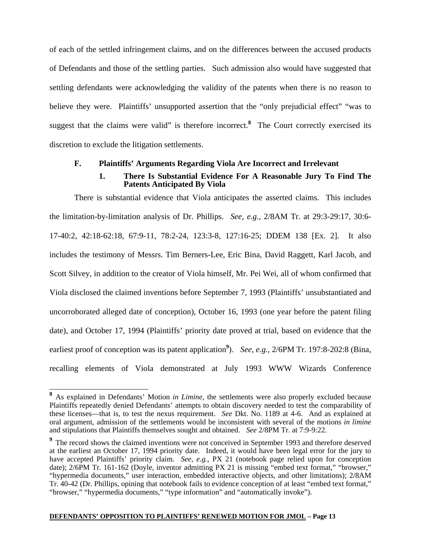of each of the settled infringement claims, and on the differences between the accused products of Defendants and those of the settling parties. Such admission also would have suggested that settling defendants were acknowledging the validity of the patents when there is no reason to believe they were. Plaintiffs' unsupported assertion that the "only prejudicial effect" "was to suggest that the claims were valid" is therefore incorrect.**<sup>8</sup>** The Court correctly exercised its discretion to exclude the litigation settlements.

# **F. Plaintiffs' Arguments Regarding Viola Are Incorrect and Irrelevant**

### **1. There Is Substantial Evidence For A Reasonable Jury To Find The Patents Anticipated By Viola**

There is substantial evidence that Viola anticipates the asserted claims. This includes the limitation-by-limitation analysis of Dr. Phillips. *See, e.g.,* 2/8AM Tr. at 29:3-29:17, 30:6- 17-40:2, 42:18-62:18, 67:9-11, 78:2-24, 123:3-8, 127:16-25; DDEM 138 [Ex. 2]. It also includes the testimony of Messrs. Tim Berners-Lee, Eric Bina, David Raggett, Karl Jacob, and Scott Silvey, in addition to the creator of Viola himself, Mr. Pei Wei, all of whom confirmed that Viola disclosed the claimed inventions before September 7, 1993 (Plaintiffs' unsubstantiated and uncorroborated alleged date of conception), October 16, 1993 (one year before the patent filing date), and October 17, 1994 (Plaintiffs' priority date proved at trial, based on evidence that the earliest proof of conception was its patent application<sup>9</sup>). *See, e.g.*, 2/6PM Tr. 197:8-202:8 (Bina, recalling elements of Viola demonstrated at July 1993 WWW Wizards Conference

 $\overline{\phantom{a}}$ 

**<sup>8</sup>** As explained in Defendants' Motion *in Limine*, the settlements were also properly excluded because Plaintiffs repeatedly denied Defendants' attempts to obtain discovery needed to test the comparability of these licenses—that is, to test the nexus requirement. *See* Dkt. No. 1189 at 4-6. And as explained at oral argument, admission of the settlements would be inconsistent with several of the motions *in limine* and stipulations that Plaintiffs themselves sought and obtained. *See* 2/8PM Tr. at 7:9-9:22.

<sup>&</sup>lt;sup>9</sup> The record shows the claimed inventions were not conceived in September 1993 and therefore deserved at the earliest an October 17, 1994 priority date. Indeed, it would have been legal error for the jury to have accepted Plaintiffs' priority claim. *See, e.g.*, PX 21 (notebook page relied upon for conception date); 2/6PM Tr. 161-162 (Doyle, inventor admitting PX 21 is missing "embed text format," "browser," "hypermedia documents," user interaction, embedded interactive objects, and other limitations); 2/8AM Tr. 40-42 (Dr. Phillips, opining that notebook fails to evidence conception of at least "embed text format," "browser," "hypermedia documents," "type information" and "automatically invoke").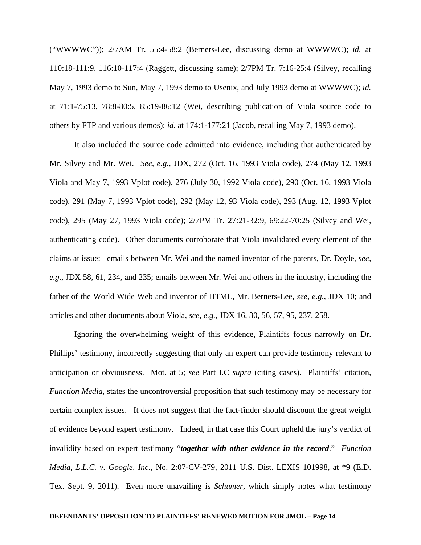("WWWWC")); 2/7AM Tr. 55:4-58:2 (Berners-Lee, discussing demo at WWWWC); *id.* at 110:18-111:9, 116:10-117:4 (Raggett, discussing same); 2/7PM Tr. 7:16-25:4 (Silvey, recalling May 7, 1993 demo to Sun, May 7, 1993 demo to Usenix, and July 1993 demo at WWWWC); *id.* at 71:1-75:13, 78:8-80:5, 85:19-86:12 (Wei, describing publication of Viola source code to others by FTP and various demos); *id.* at 174:1-177:21 (Jacob, recalling May 7, 1993 demo).

It also included the source code admitted into evidence, including that authenticated by Mr. Silvey and Mr. Wei. *See, e.g.*, JDX, 272 (Oct. 16, 1993 Viola code), 274 (May 12, 1993 Viola and May 7, 1993 Vplot code), 276 (July 30, 1992 Viola code), 290 (Oct. 16, 1993 Viola code), 291 (May 7, 1993 Vplot code), 292 (May 12, 93 Viola code), 293 (Aug. 12, 1993 Vplot code), 295 (May 27, 1993 Viola code); 2/7PM Tr. 27:21-32:9, 69:22-70:25 (Silvey and Wei, authenticating code). Other documents corroborate that Viola invalidated every element of the claims at issue: emails between Mr. Wei and the named inventor of the patents, Dr. Doyle, *see, e.g.*, JDX 58, 61, 234, and 235; emails between Mr. Wei and others in the industry, including the father of the World Wide Web and inventor of HTML, Mr. Berners-Lee, *see, e.g.*, JDX 10; and articles and other documents about Viola, *see, e.g.*, JDX 16, 30, 56, 57, 95, 237, 258.

Ignoring the overwhelming weight of this evidence, Plaintiffs focus narrowly on Dr. Phillips' testimony, incorrectly suggesting that only an expert can provide testimony relevant to anticipation or obviousness. Mot. at 5; *see* Part I.C *supra* (citing cases). Plaintiffs' citation, *Function Media*, states the uncontroversial proposition that such testimony may be necessary for certain complex issues. It does not suggest that the fact-finder should discount the great weight of evidence beyond expert testimony. Indeed, in that case this Court upheld the jury's verdict of invalidity based on expert testimony "*together with other evidence in the record*." *Function Media, L.L.C. v. Google, Inc.,* No. 2:07-CV-279, 2011 U.S. Dist. LEXIS 101998, at \*9 (E.D. Tex. Sept. 9, 2011). Even more unavailing is *Schumer*, which simply notes what testimony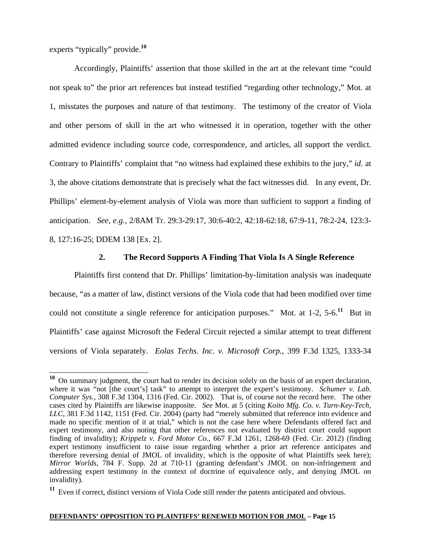experts "typically" provide.**<sup>10</sup>**

Accordingly, Plaintiffs' assertion that those skilled in the art at the relevant time "could not speak to" the prior art references but instead testified "regarding other technology," Mot. at 1, misstates the purposes and nature of that testimony. The testimony of the creator of Viola and other persons of skill in the art who witnessed it in operation, together with the other admitted evidence including source code, correspondence, and articles, all support the verdict. Contrary to Plaintiffs' complaint that "no witness had explained these exhibits to the jury," *id.* at 3, the above citations demonstrate that is precisely what the fact witnesses did. In any event, Dr. Phillips' element-by-element analysis of Viola was more than sufficient to support a finding of anticipation. *See, e.g.,* 2/8AM Tr. 29:3-29:17, 30:6-40:2, 42:18-62:18, 67:9-11, 78:2-24, 123:3- 8, 127:16-25; DDEM 138 [Ex. 2].

# **2. The Record Supports A Finding That Viola Is A Single Reference**

Plaintiffs first contend that Dr. Phillips' limitation-by-limitation analysis was inadequate because, "as a matter of law, distinct versions of the Viola code that had been modified over time could not constitute a single reference for anticipation purposes." Mot. at 1-2, 5-6.**<sup>11</sup>** But in Plaintiffs' case against Microsoft the Federal Circuit rejected a similar attempt to treat different versions of Viola separately. *Eolas Techs. Inc. v. Microsoft Corp.*, 399 F.3d 1325, 1333-34

 $\overline{a}$ **<sup>10</sup>** On summary judgment, the court had to render its decision solely on the basis of an expert declaration, where it was "not [the court's] task" to attempt to interpret the expert's testimony. *Schumer v. Lab. Computer Sys.*, 308 F.3d 1304, 1316 (Fed. Cir. 2002). That is, of course not the record here. The other cases cited by Plaintiffs are likewise inapposite. *See* Mot. at 5 (citing *Koito Mfg. Co. v. Turn-Key-Tech, LLC,* 381 F.3d 1142, 1151 (Fed. Cir. 2004) (party had "merely submitted that reference into evidence and made no specific mention of it at trial," which is not the case here where Defendants offered fact and expert testimony, and also noting that other references not evaluated by district court could support finding of invalidity); *Krippelz v. Ford Motor Co.*, 667 F.3d 1261, 1268-69 (Fed. Cir. 2012) (finding expert testimony insufficient to raise issue regarding whether a prior art reference anticipates and therefore reversing denial of JMOL of invalidity, which is the opposite of what Plaintiffs seek here); *Mirror Worlds,* 784 F. Supp. 2d at 710-11 (granting defendant's JMOL on non-infringement and addressing expert testimony in the context of doctrine of equivalence only, and denying JMOL on invalidity).

**<sup>11</sup>** Even if correct, distinct versions of Viola Code still render the patents anticipated and obvious.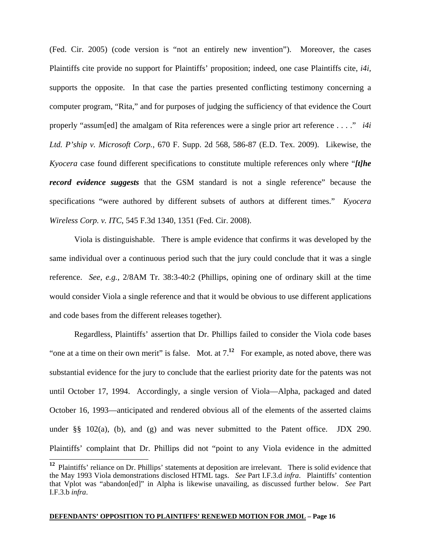(Fed. Cir. 2005) (code version is "not an entirely new invention"). Moreover, the cases Plaintiffs cite provide no support for Plaintiffs' proposition; indeed, one case Plaintiffs cite, *i4i*, supports the opposite. In that case the parties presented conflicting testimony concerning a computer program, "Rita," and for purposes of judging the sufficiency of that evidence the Court properly "assum[ed] the amalgam of Rita references were a single prior art reference . . . ." *i4i Ltd. P'ship v. Microsoft Corp.*, 670 F. Supp. 2d 568, 586-87 (E.D. Tex. 2009). Likewise, the *Kyocera* case found different specifications to constitute multiple references only where "*[t]he record evidence suggests* that the GSM standard is not a single reference" because the specifications "were authored by different subsets of authors at different times." *Kyocera Wireless Corp. v. ITC*, 545 F.3d 1340, 1351 (Fed. Cir. 2008).

Viola is distinguishable. There is ample evidence that confirms it was developed by the same individual over a continuous period such that the jury could conclude that it was a single reference. *See, e.g.*, 2/8AM Tr. 38:3-40:2 (Phillips, opining one of ordinary skill at the time would consider Viola a single reference and that it would be obvious to use different applications and code bases from the different releases together).

Regardless, Plaintiffs' assertion that Dr. Phillips failed to consider the Viola code bases "one at a time on their own merit" is false. Mot. at 7.**<sup>12</sup>** For example, as noted above, there was substantial evidence for the jury to conclude that the earliest priority date for the patents was not until October 17, 1994. Accordingly, a single version of Viola—Alpha, packaged and dated October 16, 1993—anticipated and rendered obvious all of the elements of the asserted claims under  $\S$  $\S$  102(a), (b), and (g) and was never submitted to the Patent office. JDX 290. Plaintiffs' complaint that Dr. Phillips did not "point to any Viola evidence in the admitted

 $\overline{a}$ 

**<sup>12</sup>** Plaintiffs' reliance on Dr. Phillips' statements at deposition are irrelevant. There is solid evidence that the May 1993 Viola demonstrations disclosed HTML tags. *See* Part I.F.3.d *infra*. Plaintiffs' contention that Vplot was "abandon[ed]" in Alpha is likewise unavailing, as discussed further below. *See* Part I.F.3.b *infra*.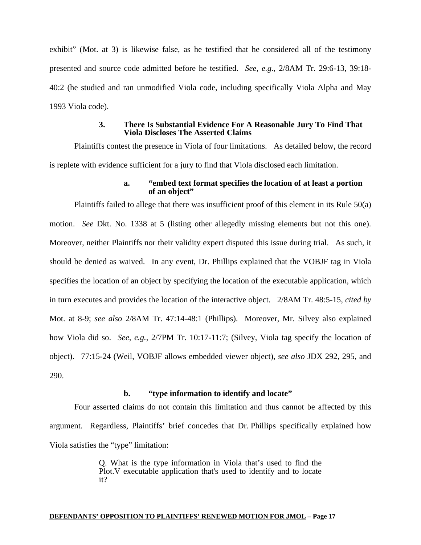exhibit" (Mot. at 3) is likewise false, as he testified that he considered all of the testimony presented and source code admitted before he testified. *See, e.g.*, 2/8AM Tr. 29:6-13, 39:18- 40:2 (he studied and ran unmodified Viola code, including specifically Viola Alpha and May 1993 Viola code).

## **3. There Is Substantial Evidence For A Reasonable Jury To Find That Viola Discloses The Asserted Claims**

Plaintiffs contest the presence in Viola of four limitations. As detailed below, the record is replete with evidence sufficient for a jury to find that Viola disclosed each limitation.

## **a. "embed text format specifies the location of at least a portion of an object"**

Plaintiffs failed to allege that there was insufficient proof of this element in its Rule 50(a) motion. *See* Dkt. No. 1338 at 5 (listing other allegedly missing elements but not this one). Moreover, neither Plaintiffs nor their validity expert disputed this issue during trial. As such, it should be denied as waived. In any event, Dr. Phillips explained that the VOBJF tag in Viola specifies the location of an object by specifying the location of the executable application, which in turn executes and provides the location of the interactive object. 2/8AM Tr. 48:5-15, *cited by*  Mot. at 8-9; *see also* 2/8AM Tr. 47:14-48:1 (Phillips). Moreover, Mr. Silvey also explained how Viola did so. *See, e.g.*, 2/7PM Tr. 10:17-11:7; (Silvey, Viola tag specify the location of object). 77:15-24 (Weil, VOBJF allows embedded viewer object), *see also* JDX 292, 295, and 290.

# **b. "type information to identify and locate"**

Four asserted claims do not contain this limitation and thus cannot be affected by this argument. Regardless, Plaintiffs' brief concedes that Dr. Phillips specifically explained how Viola satisfies the "type" limitation:

> Q. What is the type information in Viola that's used to find the Plot.V executable application that's used to identify and to locate it?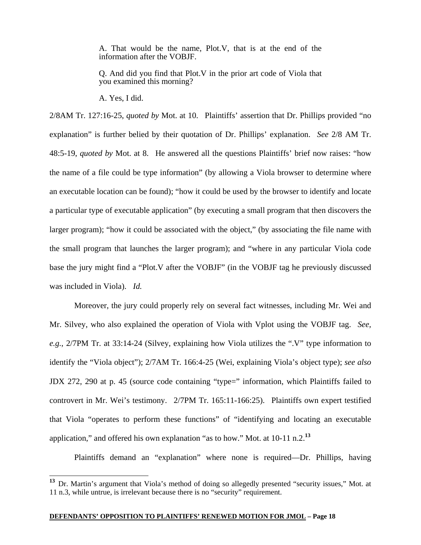A. That would be the name, Plot.V, that is at the end of the information after the VOBJF.

Q. And did you find that Plot.V in the prior art code of Viola that you examined this morning?

A. Yes, I did.

 $\overline{a}$ 

2/8AM Tr. 127:16-25, *quoted by* Mot. at 10. Plaintiffs' assertion that Dr. Phillips provided "no explanation" is further belied by their quotation of Dr. Phillips' explanation. *See* 2/8 AM Tr. 48:5-19, *quoted by* Mot. at 8. He answered all the questions Plaintiffs' brief now raises: "how the name of a file could be type information" (by allowing a Viola browser to determine where an executable location can be found); "how it could be used by the browser to identify and locate a particular type of executable application" (by executing a small program that then discovers the larger program); "how it could be associated with the object," (by associating the file name with the small program that launches the larger program); and "where in any particular Viola code base the jury might find a "Plot.V after the VOBJF" (in the VOBJF tag he previously discussed was included in Viola). *Id.*

Moreover, the jury could properly rely on several fact witnesses, including Mr. Wei and Mr. Silvey, who also explained the operation of Viola with Vplot using the VOBJF tag. *See, e.g.*, 2/7PM Tr. at 33:14-24 (Silvey, explaining how Viola utilizes the ".V" type information to identify the "Viola object"); 2/7AM Tr. 166:4-25 (Wei, explaining Viola's object type); *see also* JDX 272, 290 at p. 45 (source code containing "type=" information, which Plaintiffs failed to controvert in Mr. Wei's testimony. 2/7PM Tr. 165:11-166:25). Plaintiffs own expert testified that Viola "operates to perform these functions" of "identifying and locating an executable application," and offered his own explanation "as to how." Mot. at 10-11 n.2.**<sup>13</sup>**

Plaintiffs demand an "explanation" where none is required—Dr. Phillips, having

**<sup>13</sup>** Dr. Martin's argument that Viola's method of doing so allegedly presented "security issues," Mot. at 11 n.3, while untrue, is irrelevant because there is no "security" requirement.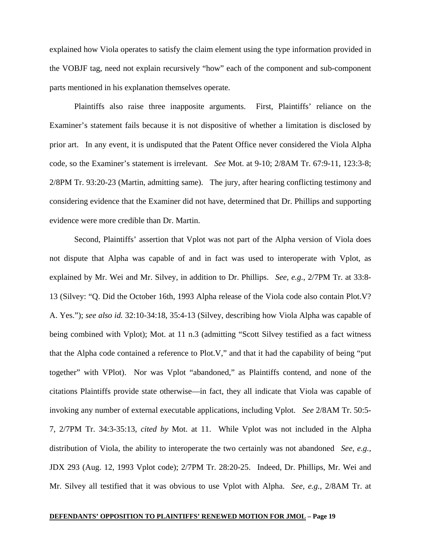explained how Viola operates to satisfy the claim element using the type information provided in the VOBJF tag, need not explain recursively "how" each of the component and sub-component parts mentioned in his explanation themselves operate.

Plaintiffs also raise three inapposite arguments. First, Plaintiffs' reliance on the Examiner's statement fails because it is not dispositive of whether a limitation is disclosed by prior art. In any event, it is undisputed that the Patent Office never considered the Viola Alpha code, so the Examiner's statement is irrelevant. *See* Mot. at 9-10; 2/8AM Tr. 67:9-11, 123:3-8; 2/8PM Tr. 93:20-23 (Martin, admitting same). The jury, after hearing conflicting testimony and considering evidence that the Examiner did not have, determined that Dr. Phillips and supporting evidence were more credible than Dr. Martin.

Second, Plaintiffs' assertion that Vplot was not part of the Alpha version of Viola does not dispute that Alpha was capable of and in fact was used to interoperate with Vplot, as explained by Mr. Wei and Mr. Silvey, in addition to Dr. Phillips. *See, e.g.*, 2/7PM Tr. at 33:8- 13 (Silvey: "Q. Did the October 16th, 1993 Alpha release of the Viola code also contain Plot.V? A. Yes."); *see also id.* 32:10-34:18, 35:4-13 (Silvey, describing how Viola Alpha was capable of being combined with Vplot); Mot. at 11 n.3 (admitting "Scott Silvey testified as a fact witness that the Alpha code contained a reference to Plot.V," and that it had the capability of being "put together" with VPlot). Nor was Vplot "abandoned," as Plaintiffs contend, and none of the citations Plaintiffs provide state otherwise—in fact, they all indicate that Viola was capable of invoking any number of external executable applications, including Vplot. *See* 2/8AM Tr. 50:5- 7, 2/7PM Tr. 34:3-35:13, *cited by* Mot. at 11. While Vplot was not included in the Alpha distribution of Viola, the ability to interoperate the two certainly was not abandoned *See*, *e.g.*, JDX 293 (Aug. 12, 1993 Vplot code); 2/7PM Tr. 28:20-25. Indeed, Dr. Phillips, Mr. Wei and Mr. Silvey all testified that it was obvious to use Vplot with Alpha. *See, e.g.*, 2/8AM Tr. at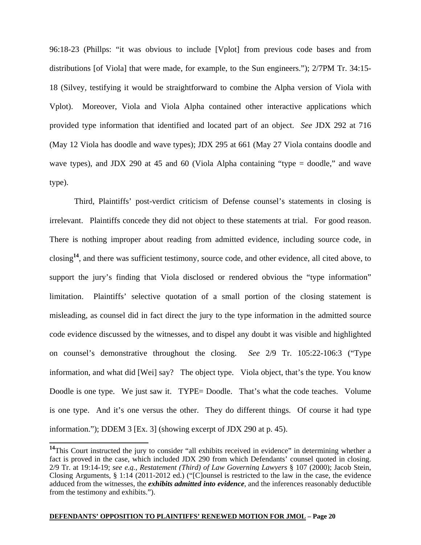96:18-23 (Phillps: "it was obvious to include [Vplot] from previous code bases and from distributions [of Viola] that were made, for example, to the Sun engineers."); 2/7PM Tr. 34:15- 18 (Silvey, testifying it would be straightforward to combine the Alpha version of Viola with Vplot). Moreover, Viola and Viola Alpha contained other interactive applications which provided type information that identified and located part of an object. *See* JDX 292 at 716 (May 12 Viola has doodle and wave types); JDX 295 at 661 (May 27 Viola contains doodle and wave types), and JDX 290 at 45 and 60 (Viola Alpha containing "type = doodle," and wave type).

Third, Plaintiffs' post-verdict criticism of Defense counsel's statements in closing is irrelevant. Plaintiffs concede they did not object to these statements at trial. For good reason. There is nothing improper about reading from admitted evidence, including source code, in closing**<sup>14</sup>**, and there was sufficient testimony, source code, and other evidence, all cited above, to support the jury's finding that Viola disclosed or rendered obvious the "type information" limitation. Plaintiffs' selective quotation of a small portion of the closing statement is misleading, as counsel did in fact direct the jury to the type information in the admitted source code evidence discussed by the witnesses, and to dispel any doubt it was visible and highlighted on counsel's demonstrative throughout the closing. *See* 2/9 Tr. 105:22-106:3 ("Type information, and what did [Wei] say? The object type. Viola object, that's the type. You know Doodle is one type. We just saw it. TYPE= Doodle. That's what the code teaches. Volume is one type. And it's one versus the other. They do different things. Of course it had type information."); DDEM 3 [Ex. 3] (showing excerpt of JDX 290 at p. 45).

 $\overline{a}$ 

<sup>&</sup>lt;sup>14</sup>This Court instructed the jury to consider "all exhibits received in evidence" in determining whether a fact is proved in the case, which included JDX 290 from which Defendants' counsel quoted in closing. 2/9 Tr. at 19:14-19; *see e.g.*, *Restatement (Third) of Law Governing Lawyers* § 107 (2000); Jacob Stein, Closing Arguments, § 1:14 (2011-2012 ed.) ("[C]ounsel is restricted to the law in the case, the evidence adduced from the witnesses, the *exhibits admitted into evidence*, and the inferences reasonably deductible from the testimony and exhibits.").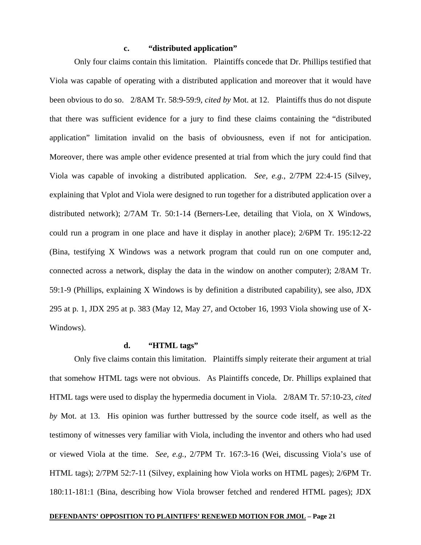# **c. "distributed application"**

Only four claims contain this limitation. Plaintiffs concede that Dr. Phillips testified that Viola was capable of operating with a distributed application and moreover that it would have been obvious to do so. 2/8AM Tr. 58:9-59:9, *cited by* Mot. at 12. Plaintiffs thus do not dispute that there was sufficient evidence for a jury to find these claims containing the "distributed application" limitation invalid on the basis of obviousness, even if not for anticipation. Moreover, there was ample other evidence presented at trial from which the jury could find that Viola was capable of invoking a distributed application. *See, e.g.*, 2/7PM 22:4-15 (Silvey, explaining that Vplot and Viola were designed to run together for a distributed application over a distributed network); 2/7AM Tr. 50:1-14 (Berners-Lee, detailing that Viola, on X Windows, could run a program in one place and have it display in another place); 2/6PM Tr. 195:12-22 (Bina, testifying X Windows was a network program that could run on one computer and, connected across a network, display the data in the window on another computer); 2/8AM Tr. 59:1-9 (Phillips, explaining X Windows is by definition a distributed capability), see also, JDX 295 at p. 1, JDX 295 at p. 383 (May 12, May 27, and October 16, 1993 Viola showing use of X-Windows).

### **d. "HTML tags"**

Only five claims contain this limitation. Plaintiffs simply reiterate their argument at trial that somehow HTML tags were not obvious. As Plaintiffs concede, Dr. Phillips explained that HTML tags were used to display the hypermedia document in Viola. 2/8AM Tr. 57:10-23, *cited by* Mot. at 13. His opinion was further buttressed by the source code itself, as well as the testimony of witnesses very familiar with Viola, including the inventor and others who had used or viewed Viola at the time. *See, e.g.*, 2/7PM Tr. 167:3-16 (Wei, discussing Viola's use of HTML tags); 2/7PM 52:7-11 (Silvey, explaining how Viola works on HTML pages); 2/6PM Tr. 180:11-181:1 (Bina, describing how Viola browser fetched and rendered HTML pages); JDX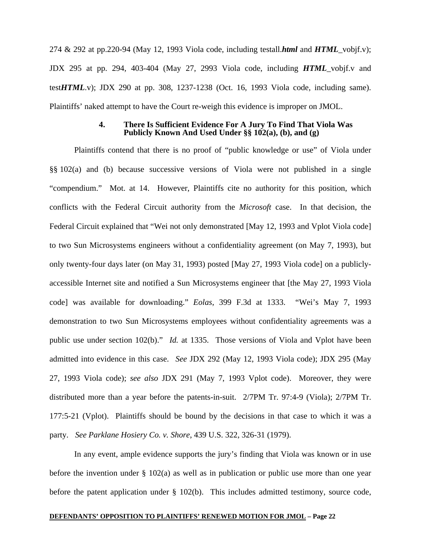274 & 292 at pp.220-94 (May 12, 1993 Viola code, including testall.*html* and *HTML*\_vobjf.v); JDX 295 at pp. 294, 403-404 (May 27, 2993 Viola code, including *HTML*\_vobjf.v and test*HTML*.v); JDX 290 at pp. 308, 1237-1238 (Oct. 16, 1993 Viola code, including same). Plaintiffs' naked attempt to have the Court re-weigh this evidence is improper on JMOL.

### **4. There Is Sufficient Evidence For A Jury To Find That Viola Was Publicly Known And Used Under §§ 102(a), (b), and (g)**

Plaintiffs contend that there is no proof of "public knowledge or use" of Viola under §§ 102(a) and (b) because successive versions of Viola were not published in a single "compendium." Mot. at 14. However, Plaintiffs cite no authority for this position, which conflicts with the Federal Circuit authority from the *Microsoft* case. In that decision, the Federal Circuit explained that "Wei not only demonstrated [May 12, 1993 and Vplot Viola code] to two Sun Microsystems engineers without a confidentiality agreement (on May 7, 1993), but only twenty-four days later (on May 31, 1993) posted [May 27, 1993 Viola code] on a publiclyaccessible Internet site and notified a Sun Microsystems engineer that [the May 27, 1993 Viola code] was available for downloading." *Eolas*, 399 F.3d at 1333. "Wei's May 7, 1993 demonstration to two Sun Microsystems employees without confidentiality agreements was a public use under section 102(b)." *Id.* at 1335. Those versions of Viola and Vplot have been admitted into evidence in this case. *See* JDX 292 (May 12, 1993 Viola code); JDX 295 (May 27, 1993 Viola code); *see also* JDX 291 (May 7, 1993 Vplot code). Moreover, they were distributed more than a year before the patents-in-suit. 2/7PM Tr. 97:4-9 (Viola); 2/7PM Tr. 177:5-21 (Vplot). Plaintiffs should be bound by the decisions in that case to which it was a party. *See Parklane Hosiery Co. v. Shore*, 439 U.S. 322, 326-31 (1979).

In any event, ample evidence supports the jury's finding that Viola was known or in use before the invention under § 102(a) as well as in publication or public use more than one year before the patent application under § 102(b). This includes admitted testimony, source code,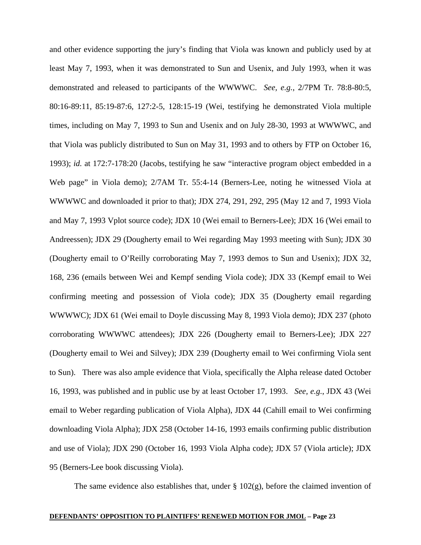and other evidence supporting the jury's finding that Viola was known and publicly used by at least May 7, 1993, when it was demonstrated to Sun and Usenix, and July 1993, when it was demonstrated and released to participants of the WWWWC. *See, e.g.*, 2/7PM Tr. 78:8-80:5, 80:16-89:11, 85:19-87:6, 127:2-5, 128:15-19 (Wei, testifying he demonstrated Viola multiple times, including on May 7, 1993 to Sun and Usenix and on July 28-30, 1993 at WWWWC, and that Viola was publicly distributed to Sun on May 31, 1993 and to others by FTP on October 16, 1993); *id.* at 172:7-178:20 (Jacobs, testifying he saw "interactive program object embedded in a Web page" in Viola demo); 2/7AM Tr. 55:4-14 (Berners-Lee, noting he witnessed Viola at WWWWC and downloaded it prior to that); JDX 274, 291, 292, 295 (May 12 and 7, 1993 Viola and May 7, 1993 Vplot source code); JDX 10 (Wei email to Berners-Lee); JDX 16 (Wei email to Andreessen); JDX 29 (Dougherty email to Wei regarding May 1993 meeting with Sun); JDX 30 (Dougherty email to O'Reilly corroborating May 7, 1993 demos to Sun and Usenix); JDX 32, 168, 236 (emails between Wei and Kempf sending Viola code); JDX 33 (Kempf email to Wei confirming meeting and possession of Viola code); JDX 35 (Dougherty email regarding WWWWC); JDX 61 (Wei email to Doyle discussing May 8, 1993 Viola demo); JDX 237 (photo corroborating WWWWC attendees); JDX 226 (Dougherty email to Berners-Lee); JDX 227 (Dougherty email to Wei and Silvey); JDX 239 (Dougherty email to Wei confirming Viola sent to Sun). There was also ample evidence that Viola, specifically the Alpha release dated October 16, 1993, was published and in public use by at least October 17, 1993. *See, e.g.*, JDX 43 (Wei email to Weber regarding publication of Viola Alpha), JDX 44 (Cahill email to Wei confirming downloading Viola Alpha); JDX 258 (October 14-16, 1993 emails confirming public distribution and use of Viola); JDX 290 (October 16, 1993 Viola Alpha code); JDX 57 (Viola article); JDX 95 (Berners-Lee book discussing Viola).

The same evidence also establishes that, under  $\S$  102(g), before the claimed invention of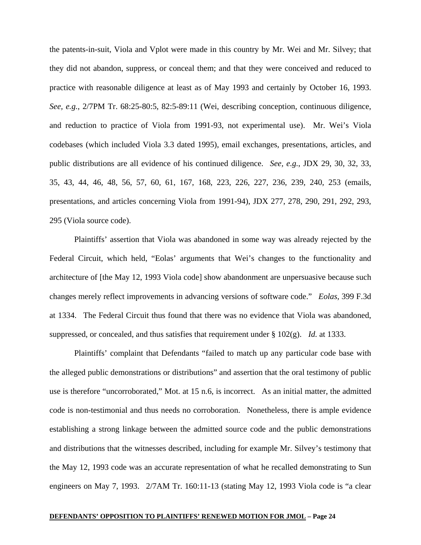the patents-in-suit, Viola and Vplot were made in this country by Mr. Wei and Mr. Silvey; that they did not abandon, suppress, or conceal them; and that they were conceived and reduced to practice with reasonable diligence at least as of May 1993 and certainly by October 16, 1993. *See, e.g.*, 2/7PM Tr. 68:25-80:5, 82:5-89:11 (Wei, describing conception, continuous diligence, and reduction to practice of Viola from 1991-93, not experimental use). Mr. Wei's Viola codebases (which included Viola 3.3 dated 1995), email exchanges, presentations, articles, and public distributions are all evidence of his continued diligence. *See, e.g.*, JDX 29, 30, 32, 33, 35, 43, 44, 46, 48, 56, 57, 60, 61, 167, 168, 223, 226, 227, 236, 239, 240, 253 (emails, presentations, and articles concerning Viola from 1991-94), JDX 277, 278, 290, 291, 292, 293, 295 (Viola source code).

Plaintiffs' assertion that Viola was abandoned in some way was already rejected by the Federal Circuit, which held, "Eolas' arguments that Wei's changes to the functionality and architecture of [the May 12, 1993 Viola code] show abandonment are unpersuasive because such changes merely reflect improvements in advancing versions of software code." *Eolas*, 399 F.3d at 1334. The Federal Circuit thus found that there was no evidence that Viola was abandoned, suppressed, or concealed, and thus satisfies that requirement under § 102(g). *Id.* at 1333.

Plaintiffs' complaint that Defendants "failed to match up any particular code base with the alleged public demonstrations or distributions" and assertion that the oral testimony of public use is therefore "uncorroborated," Mot. at 15 n.6, is incorrect. As an initial matter, the admitted code is non-testimonial and thus needs no corroboration. Nonetheless, there is ample evidence establishing a strong linkage between the admitted source code and the public demonstrations and distributions that the witnesses described, including for example Mr. Silvey's testimony that the May 12, 1993 code was an accurate representation of what he recalled demonstrating to Sun engineers on May 7, 1993. 2/7AM Tr. 160:11-13 (stating May 12, 1993 Viola code is "a clear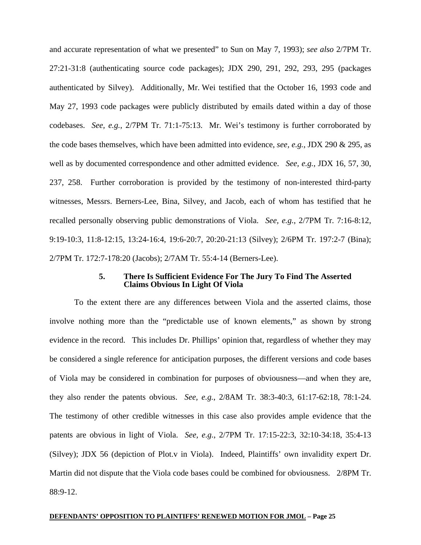and accurate representation of what we presented" to Sun on May 7, 1993); *see also* 2/7PM Tr. 27:21-31:8 (authenticating source code packages); JDX 290, 291, 292, 293, 295 (packages authenticated by Silvey). Additionally, Mr. Wei testified that the October 16, 1993 code and May 27, 1993 code packages were publicly distributed by emails dated within a day of those codebases. *See, e.g.*, 2/7PM Tr. 71:1-75:13. Mr. Wei's testimony is further corroborated by the code bases themselves, which have been admitted into evidence, *see, e.g.*, JDX 290 & 295, as well as by documented correspondence and other admitted evidence. *See, e.g.*, JDX 16, 57, 30, 237, 258. Further corroboration is provided by the testimony of non-interested third-party witnesses, Messrs. Berners-Lee, Bina, Silvey, and Jacob, each of whom has testified that he recalled personally observing public demonstrations of Viola. *See, e.g.*, 2/7PM Tr. 7:16-8:12, 9:19-10:3, 11:8-12:15, 13:24-16:4, 19:6-20:7, 20:20-21:13 (Silvey); 2/6PM Tr. 197:2-7 (Bina); 2/7PM Tr. 172:7-178:20 (Jacobs); 2/7AM Tr. 55:4-14 (Berners-Lee).

### **5. There Is Sufficient Evidence For The Jury To Find The Asserted Claims Obvious In Light Of Viola**

To the extent there are any differences between Viola and the asserted claims, those involve nothing more than the "predictable use of known elements," as shown by strong evidence in the record. This includes Dr. Phillips' opinion that, regardless of whether they may be considered a single reference for anticipation purposes, the different versions and code bases of Viola may be considered in combination for purposes of obviousness—and when they are, they also render the patents obvious. *See, e.g.*, 2/8AM Tr. 38:3-40:3, 61:17-62:18, 78:1-24. The testimony of other credible witnesses in this case also provides ample evidence that the patents are obvious in light of Viola. *See, e.g.*, 2/7PM Tr. 17:15-22:3, 32:10-34:18, 35:4-13 (Silvey); JDX 56 (depiction of Plot.v in Viola). Indeed, Plaintiffs' own invalidity expert Dr. Martin did not dispute that the Viola code bases could be combined for obviousness. 2/8PM Tr. 88:9-12.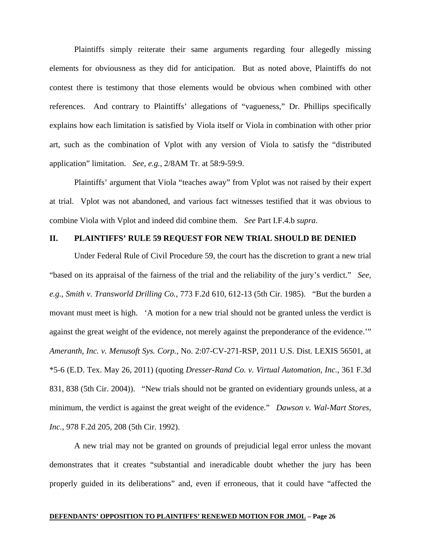Plaintiffs simply reiterate their same arguments regarding four allegedly missing elements for obviousness as they did for anticipation. But as noted above, Plaintiffs do not contest there is testimony that those elements would be obvious when combined with other references. And contrary to Plaintiffs' allegations of "vagueness," Dr. Phillips specifically explains how each limitation is satisfied by Viola itself or Viola in combination with other prior art, such as the combination of Vplot with any version of Viola to satisfy the "distributed application" limitation. *See, e.g.*, 2/8AM Tr. at 58:9-59:9.

Plaintiffs' argument that Viola "teaches away" from Vplot was not raised by their expert at trial. Vplot was not abandoned, and various fact witnesses testified that it was obvious to combine Viola with Vplot and indeed did combine them. *See* Part I.F.4.b *supra*.

# **II. PLAINTIFFS' RULE 59 REQUEST FOR NEW TRIAL SHOULD BE DENIED**

Under Federal Rule of Civil Procedure 59, the court has the discretion to grant a new trial "based on its appraisal of the fairness of the trial and the reliability of the jury's verdict." *See, e.g.*, *Smith v. Transworld Drilling Co.*, 773 F.2d 610, 612-13 (5th Cir. 1985). "But the burden a movant must meet is high. 'A motion for a new trial should not be granted unless the verdict is against the great weight of the evidence, not merely against the preponderance of the evidence.'" *Ameranth, Inc. v. Menusoft Sys. Corp.*, No. 2:07-CV-271-RSP, 2011 U.S. Dist. LEXIS 56501, at \*5-6 (E.D. Tex. May 26, 2011) (quoting *Dresser-Rand Co. v. Virtual Automation, Inc.*, 361 F.3d 831, 838 (5th Cir. 2004)). "New trials should not be granted on evidentiary grounds unless, at a minimum, the verdict is against the great weight of the evidence." *Dawson v. Wal-Mart Stores, Inc.*, 978 F.2d 205, 208 (5th Cir. 1992).

A new trial may not be granted on grounds of prejudicial legal error unless the movant demonstrates that it creates "substantial and ineradicable doubt whether the jury has been properly guided in its deliberations" and, even if erroneous, that it could have "affected the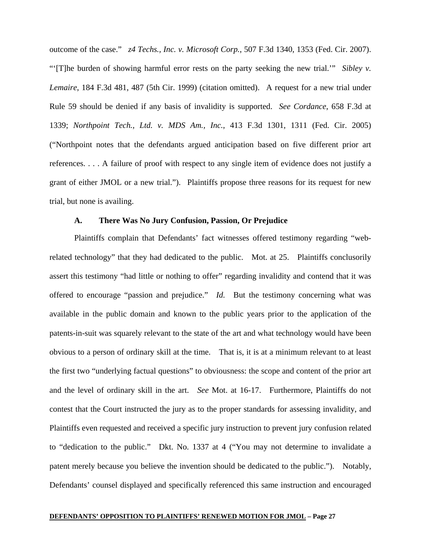outcome of the case." *z4 Techs., Inc. v. Microsoft Corp.*, 507 F.3d 1340, 1353 (Fed. Cir. 2007). "'[T]he burden of showing harmful error rests on the party seeking the new trial.'" *Sibley v. Lemaire*, 184 F.3d 481, 487 (5th Cir. 1999) (citation omitted). A request for a new trial under Rule 59 should be denied if any basis of invalidity is supported. *See Cordance*, 658 F.3d at 1339; *Northpoint Tech., Ltd. v. MDS Am., Inc.*, 413 F.3d 1301, 1311 (Fed. Cir. 2005) ("Northpoint notes that the defendants argued anticipation based on five different prior art references. . . . A failure of proof with respect to any single item of evidence does not justify a grant of either JMOL or a new trial."). Plaintiffs propose three reasons for its request for new trial, but none is availing.

## **A. There Was No Jury Confusion, Passion, Or Prejudice**

Plaintiffs complain that Defendants' fact witnesses offered testimony regarding "webrelated technology" that they had dedicated to the public. Mot. at 25. Plaintiffs conclusorily assert this testimony "had little or nothing to offer" regarding invalidity and contend that it was offered to encourage "passion and prejudice." *Id.* But the testimony concerning what was available in the public domain and known to the public years prior to the application of the patents-in-suit was squarely relevant to the state of the art and what technology would have been obvious to a person of ordinary skill at the time. That is, it is at a minimum relevant to at least the first two "underlying factual questions" to obviousness: the scope and content of the prior art and the level of ordinary skill in the art. *See* Mot. at 16-17. Furthermore, Plaintiffs do not contest that the Court instructed the jury as to the proper standards for assessing invalidity, and Plaintiffs even requested and received a specific jury instruction to prevent jury confusion related to "dedication to the public." Dkt. No. 1337 at 4 ("You may not determine to invalidate a patent merely because you believe the invention should be dedicated to the public."). Notably, Defendants' counsel displayed and specifically referenced this same instruction and encouraged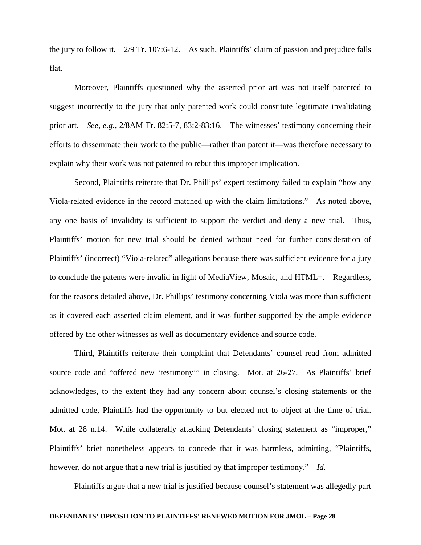the jury to follow it. 2/9 Tr. 107:6-12. As such, Plaintiffs' claim of passion and prejudice falls flat.

Moreover, Plaintiffs questioned why the asserted prior art was not itself patented to suggest incorrectly to the jury that only patented work could constitute legitimate invalidating prior art. *See, e.g.*, 2/8AM Tr. 82:5-7, 83:2-83:16. The witnesses' testimony concerning their efforts to disseminate their work to the public—rather than patent it—was therefore necessary to explain why their work was not patented to rebut this improper implication.

Second, Plaintiffs reiterate that Dr. Phillips' expert testimony failed to explain "how any Viola-related evidence in the record matched up with the claim limitations." As noted above, any one basis of invalidity is sufficient to support the verdict and deny a new trial. Thus, Plaintiffs' motion for new trial should be denied without need for further consideration of Plaintiffs' (incorrect) "Viola-related" allegations because there was sufficient evidence for a jury to conclude the patents were invalid in light of MediaView, Mosaic, and HTML+. Regardless, for the reasons detailed above, Dr. Phillips' testimony concerning Viola was more than sufficient as it covered each asserted claim element, and it was further supported by the ample evidence offered by the other witnesses as well as documentary evidence and source code.

Third, Plaintiffs reiterate their complaint that Defendants' counsel read from admitted source code and "offered new 'testimony'" in closing. Mot. at 26-27. As Plaintiffs' brief acknowledges, to the extent they had any concern about counsel's closing statements or the admitted code, Plaintiffs had the opportunity to but elected not to object at the time of trial. Mot. at 28 n.14. While collaterally attacking Defendants' closing statement as "improper," Plaintiffs' brief nonetheless appears to concede that it was harmless, admitting, "Plaintiffs, however, do not argue that a new trial is justified by that improper testimony." *Id*.

Plaintiffs argue that a new trial is justified because counsel's statement was allegedly part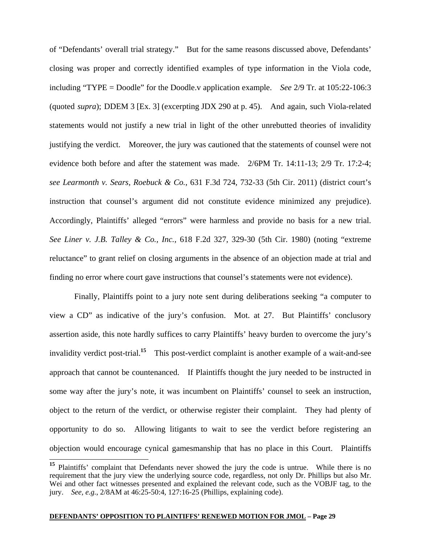of "Defendants' overall trial strategy." But for the same reasons discussed above, Defendants' closing was proper and correctly identified examples of type information in the Viola code, including "TYPE = Doodle" for the Doodle.v application example. *See* 2/9 Tr. at 105:22-106:3 (quoted *supra*); DDEM 3 [Ex. 3] (excerpting JDX 290 at p. 45). And again, such Viola-related statements would not justify a new trial in light of the other unrebutted theories of invalidity justifying the verdict. Moreover, the jury was cautioned that the statements of counsel were not evidence both before and after the statement was made. 2/6PM Tr. 14:11-13; 2/9 Tr. 17:2-4; *see Learmonth v. Sears, Roebuck & Co.*, 631 F.3d 724, 732-33 (5th Cir. 2011) (district court's instruction that counsel's argument did not constitute evidence minimized any prejudice). Accordingly, Plaintiffs' alleged "errors" were harmless and provide no basis for a new trial. *See Liner v. J.B. Talley & Co., Inc.*, 618 F.2d 327, 329-30 (5th Cir. 1980) (noting "extreme reluctance" to grant relief on closing arguments in the absence of an objection made at trial and finding no error where court gave instructions that counsel's statements were not evidence).

Finally, Plaintiffs point to a jury note sent during deliberations seeking "a computer to view a CD" as indicative of the jury's confusion. Mot. at 27. But Plaintiffs' conclusory assertion aside, this note hardly suffices to carry Plaintiffs' heavy burden to overcome the jury's invalidity verdict post-trial.**<sup>15</sup>** This post-verdict complaint is another example of a wait-and-see approach that cannot be countenanced. If Plaintiffs thought the jury needed to be instructed in some way after the jury's note, it was incumbent on Plaintiffs' counsel to seek an instruction, object to the return of the verdict, or otherwise register their complaint. They had plenty of opportunity to do so. Allowing litigants to wait to see the verdict before registering an objection would encourage cynical gamesmanship that has no place in this Court. Plaintiffs

 $\overline{a}$ 

**<sup>15</sup>** Plaintiffs' complaint that Defendants never showed the jury the code is untrue. While there is no requirement that the jury view the underlying source code, regardless, not only Dr. Phillips but also Mr. Wei and other fact witnesses presented and explained the relevant code, such as the VOBJF tag, to the jury. *See, e.g.*, 2/8AM at 46:25-50:4, 127:16-25 (Phillips, explaining code).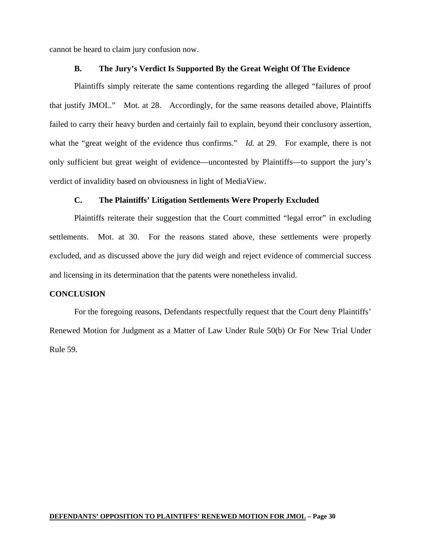cannot be heard to claim jury confusion now.

## **B. The Jury's Verdict Is Supported By the Great Weight Of The Evidence**

Plaintiffs simply reiterate the same contentions regarding the alleged "failures of proof that justify JMOL." Mot. at 28. Accordingly, for the same reasons detailed above, Plaintiffs failed to carry their heavy burden and certainly fail to explain, beyond their conclusory assertion, what the "great weight of the evidence thus confirms." *Id.* at 29. For example, there is not only sufficient but great weight of evidence—uncontested by Plaintiffs—to support the jury's verdict of invalidity based on obviousness in light of MediaView.

## **C. The Plaintiffs' Litigation Settlements Were Properly Excluded**

Plaintiffs reiterate their suggestion that the Court committed "legal error" in excluding settlements. Mot. at 30. For the reasons stated above, these settlements were properly excluded, and as discussed above the jury did weigh and reject evidence of commercial success and licensing in its determination that the patents were nonetheless invalid.

### **CONCLUSION**

For the foregoing reasons, Defendants respectfully request that the Court deny Plaintiffs' Renewed Motion for Judgment as a Matter of Law Under Rule 50(b) Or For New Trial Under Rule 59.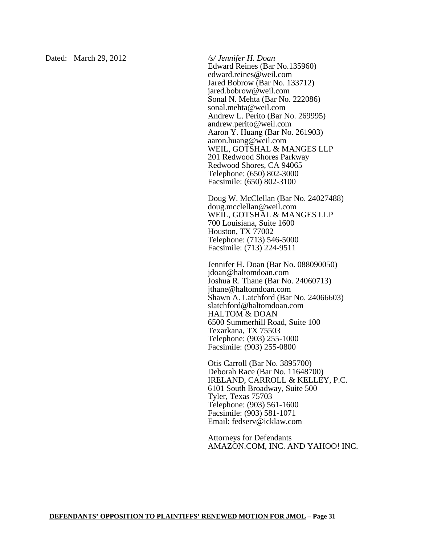Dated: March 29, 2012 */s/ Jennifer H. Doan* 

Edward Reines (Bar No.135960) edward.reines@weil.com Jared Bobrow (Bar No. 133712) jared.bobrow@weil.com Sonal N. Mehta (Bar No. 222086) sonal.mehta@weil.com Andrew L. Perito (Bar No. 269995) andrew.perito@weil.com Aaron Y. Huang (Bar No. 261903) aaron.huang@weil.com WEIL, GOTSHAL & MANGES LLP 201 Redwood Shores Parkway Redwood Shores, CA 94065 Telephone: (650) 802-3000 Facsimile: (650) 802-3100

Doug W. McClellan (Bar No. 24027488) doug.mcclellan@weil.com WEIL, GOTSHAL & MANGES LLP 700 Louisiana, Suite 1600 Houston, TX 77002 Telephone: (713) 546-5000 Facsimile: (713) 224-9511

Jennifer H. Doan (Bar No. 088090050) jdoan@haltomdoan.com Joshua R. Thane (Bar No. 24060713) jthane@haltomdoan.com Shawn A. Latchford (Bar No. 24066603) slatchford@haltomdoan.com HALTOM & DOAN 6500 Summerhill Road, Suite 100 Texarkana, TX 75503 Telephone: (903) 255-1000 Facsimile: (903) 255-0800

Otis Carroll (Bar No. 3895700) Deborah Race (Bar No. 11648700) IRELAND, CARROLL & KELLEY, P.C. 6101 South Broadway, Suite 500 Tyler, Texas 75703 Telephone: (903) 561-1600 Facsimile: (903) 581-1071 Email: fedserv@icklaw.com

Attorneys for Defendants AMAZON.COM, INC. AND YAHOO! INC.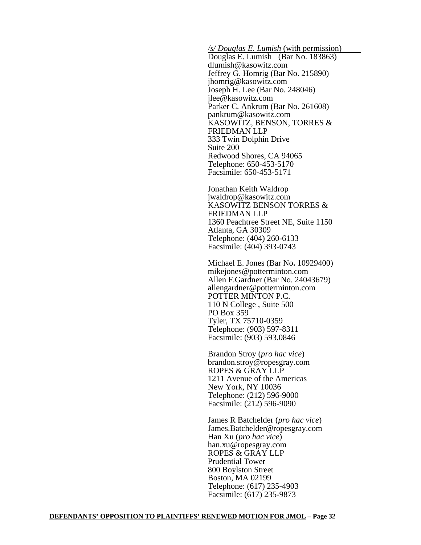*/s/ Douglas E. Lumish* (with permission)

Douglas E. Lumish (Bar No. 183863) dlumish@kasowitz.com Jeffrey G. Homrig (Bar No. 215890) jhomrig@kasowitz.com Joseph H. Lee (Bar No. 248046) jlee@kasowitz.com Parker C. Ankrum (Bar No. 261608) pankrum@kasowitz.com KASOWITZ, BENSON, TORRES & FRIEDMAN LLP 333 Twin Dolphin Drive Suite 200 Redwood Shores, CA 94065 Telephone: 650-453-5170 Facsimile: 650-453-5171

Jonathan Keith Waldropjwaldrop@kasowitz.com KASOWITZ BENSON TORRES & FRIEDMAN LLP 1360 Peachtree Street NE, Suite 1150 Atlanta, GA 30309 Telephone: (404) 260-6133 Facsimile: (404) 393-0743

Michael E. Jones (Bar No**.** 10929400) mikejones@potterminton.com Allen F.Gardner (Bar No. 24043679) allengardner@potterminton.com POTTER MINTON P.C. 110 N College , Suite 500 PO Box 359 Tyler, TX 75710-0359 Telephone: (903) 597-8311 Facsimile: (903) 593.0846

Brandon Stroy (*pro hac vice*) brandon.stroy@ropesgray.com ROPES & GRAY LLP 1211 Avenue of the Americas New York, NY 10036 Telephone: (212) 596-9000 Facsimile: (212) 596-9090

James R Batchelder (*pro hac vice*) James.Batchelder@ropesgray.com Han Xu (*pro hac vice*) han.xu@ropesgray.com ROPES & GRAY LLP Prudential Tower 800 Boylston Street Boston, MA 02199 Telephone: (617) 235-4903 Facsimile: (617) 235-9873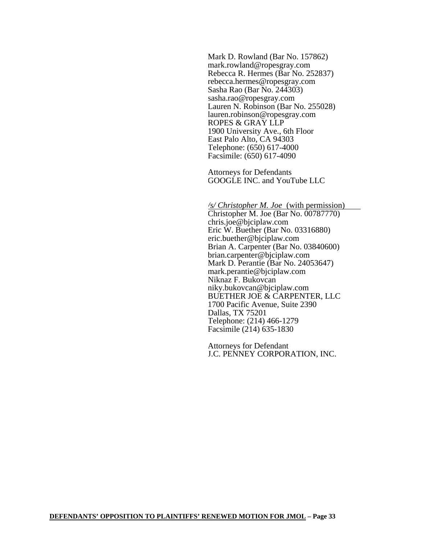Mark D. Rowland (Bar No. 157862) mark.rowland@ropesgray.com Rebecca R. Hermes (Bar No. 252837) rebecca.hermes@ropesgray.com Sasha Rao (Bar No. 244303) sasha.rao@ropesgray.com Lauren N. Robinson (Bar No. 255028) lauren.robinson@ropesgray.com ROPES & GRAY LLP 1900 University Ave., 6th Floor East Palo Alto, CA 94303 Telephone: (650) 617-4000 Facsimile: (650) 617-4090

Attorneys for Defendants GOOGLE INC. and YouTube LLC

*/s/ Christopher M. Joe* (with permission) Christopher M. Joe (Bar No. 00787770) chris.joe@bjciplaw.com Eric W. Buether (Bar No. 03316880) eric.buether@bjciplaw.com Brian A. Carpenter (Bar No. 03840600) brian.carpenter@bjciplaw.com Mark D. Perantie (Bar No. 24053647) mark.perantie@bjciplaw.com Niknaz F. Bukovcan niky.bukovcan@bjciplaw.com BUETHER JOE & CARPENTER, LLC 1700 Pacific Avenue, Suite 2390 Dallas, TX 75201 Telephone: (214) 466-1279 Facsimile (214) 635-1830

Attorneys for Defendant J.C. PENNEY CORPORATION, INC.